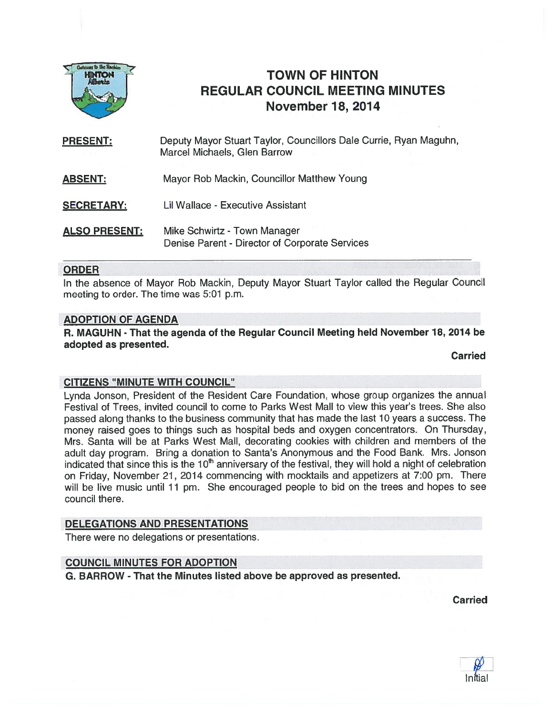

# TOWN OF HINTON REGULAR COUNCIL MEETING MINUTES November 18, 2014

Deputy Mayor Stuart Taylor, Councillors Dale Currie, Ryan Maguhn, Marcel Michaels, Glen Barrow ABSENT: Mayor Rob Mackin, Councillor Matthew Young SECRETARY: Lil Wallace - Executive Assistant PRESENT:

**ALSO PRESENT:** Mike Schwirtz - Town Manager Denise Parent - Director of Corporate Services

#### ORDER

In the absence of Mayor Rob Mackin, Deputy Mayor Stuart Taylor called the Regular Council meeting to order. The time was 5:01 p.m.

#### ADOPTION OF AGENDA

R. MAGUHN - That the agenda of the Regular Council Meeting held November 18, 2014 be adopted as presented.

**Carried** 

### CITIZENS "MINUTE WITH COUNCIL"

Lynda Jonson, President of the Resident Care Foundation, whose group organizes the annual Festival of Trees, invited council to come to Parks West Mall to view this year's trees. She also passed along thanks to the business community that has made the last 10 years <sup>a</sup> success. The money raised goes to things such as hospital beds and oxygen concentrators. On Thursday, Mrs. Santa will be at Parks West Mall, decorating cookies with children and members of the adult day program. Bring <sup>a</sup> donation to Santa's Anonymous and the Food Bank. Mrs. Jonson indicated that since this is the 10<sup>th</sup> anniversary of the festival, they will hold a night of celebration on Friday, November 21, 2014 commencing with mocktails and appetizers at 7:00 pm. There will be live music until 11 pm. She encouraged people to bid on the trees and hopes to see council there.

### DELEGATIONS AND PRESENTATIONS

There were no delegations or presentations.

#### COUNCIL MINUTES FOR ADOPTION

G. BARROW - That the Minutes listed above be approved as presented.

Carried

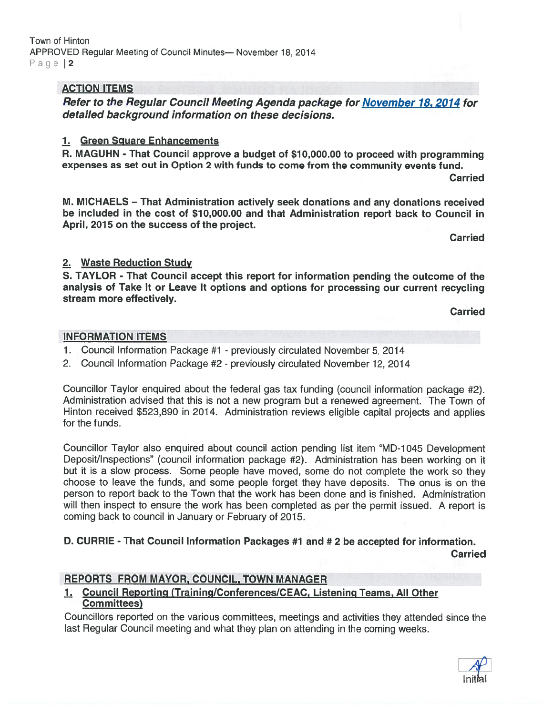## ACTION ITEMS

Refer to the Regular Council Meeting Agenda package for November 18, 2014 for detailed background information on these decisions.

## 1. Green Square Enhancements

R. MAGUHN - That Council approve <sup>a</sup> budget of \$10,000.00 to proceed with programming expenses as set out in Option 2 with funds to come from the community events fund.

**Carried** 

M. MICHAELS — That Administration actively seek donations and any donations received be included in the cost of \$10,000.00 and that Administration repor<sup>t</sup> back to Council in April, 2015 on the success of the project.

Carried

# 2. Waste Reduction Study

S. TAYLOR - That Council accep<sup>t</sup> this repor<sup>t</sup> for information pending the outcome of the analysis of Take It or Leave It options and options for processing our current recycling stream more effectively.

Carried

### INFORMATION ITEMS

- 1. Council Information Package #1 previously circulated November 5, 2014
- 2. Council Information Package #2 previously circulated November 12, 2014

Councillor Taylor enquired about the federal gas tax funding (council information package #2). Administration advised that this is not <sup>a</sup> new program but <sup>a</sup> renewed agreement. The Town of Hinton received \$523,890 in 2014. Administration reviews eligible capital projects and applies for the funds.

Councillor Taylor also enquired about council action pending list item "MD-1045 Development Deposit/Inspections" (council information package #2). Administration has been working on it but it is <sup>a</sup> slow process. Some people have moved, some do not complete the work so they choose to leave the funds, and some people forget they have deposits. The onus is on the person to repor<sup>t</sup> back to the Town that the work has been done and is finished. Administration will then inspect to ensure the work has been completed as per the permit issued. <sup>A</sup> repor<sup>t</sup> is coming back to council in January or February of 2015.

# D. CURRIE - That Council Information Packages #1 and # 2 be accepted for information. Carried

### REPORTS FROM MAYOR, COUNCIL, TOWN MANAGER

1. Council Reporting (Training/Conferences/CEAC, Listening Teams, All Other Committees)

Councillors reported on the various committees, meetings and activities they attended since the last Regular Council meeting and what they <sup>p</sup>lan on attending in the coming weeks.